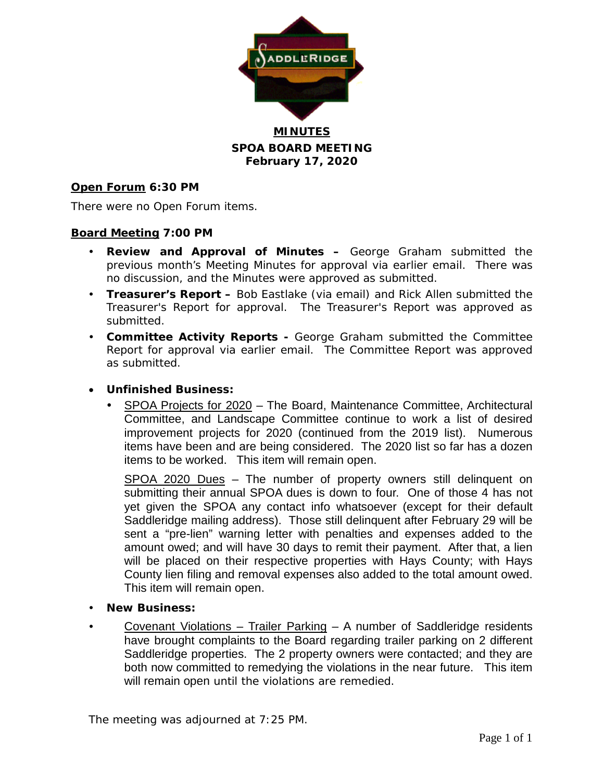

**MINUTES SPOA BOARD MEETING February 17, 2020**

### **Open Forum 6:30 PM**

There were no Open Forum items.

#### **Board Meeting 7:00 PM**

- **Review and Approval of Minutes –** George Graham submitted the previous month's Meeting Minutes for approval via earlier email. There was no discussion, and the Minutes were approved as submitted.
- **Treasurer's Report –** Bob Eastlake (via email) and Rick Allen submitted the Treasurer's Report for approval. The Treasurer's Report was approved as submitted.
- **Committee Activity Reports -** George Graham submitted the Committee Report for approval via earlier email. The Committee Report was approved as submitted.

### • **Unfinished Business:**

 SPOA Projects for 2020 – The Board, Maintenance Committee, Architectural Committee, and Landscape Committee continue to work a list of desired improvement projects for 2020 (continued from the 2019 list). Numerous items have been and are being considered. The 2020 list so far has a dozen items to be worked. This item will remain open.

SPOA 2020 Dues – The number of property owners still delinquent on submitting their annual SPOA dues is down to four. One of those 4 has not yet given the SPOA any contact info whatsoever (except for their default Saddleridge mailing address). Those still delinquent after February 29 will be sent a "pre-lien" warning letter with penalties and expenses added to the amount owed; and will have 30 days to remit their payment. After that, a lien will be placed on their respective properties with Hays County; with Hays County lien filing and removal expenses also added to the total amount owed. This item will remain open.

- **New Business:**
- Covenant Violations Trailer Parking A number of Saddleridge residents have brought complaints to the Board regarding trailer parking on 2 different Saddleridge properties. The 2 property owners were contacted; and they are both now committed to remedying the violations in the near future. This item will remain open until the violations are remedied.

The meeting was adjourned at 7:25 PM.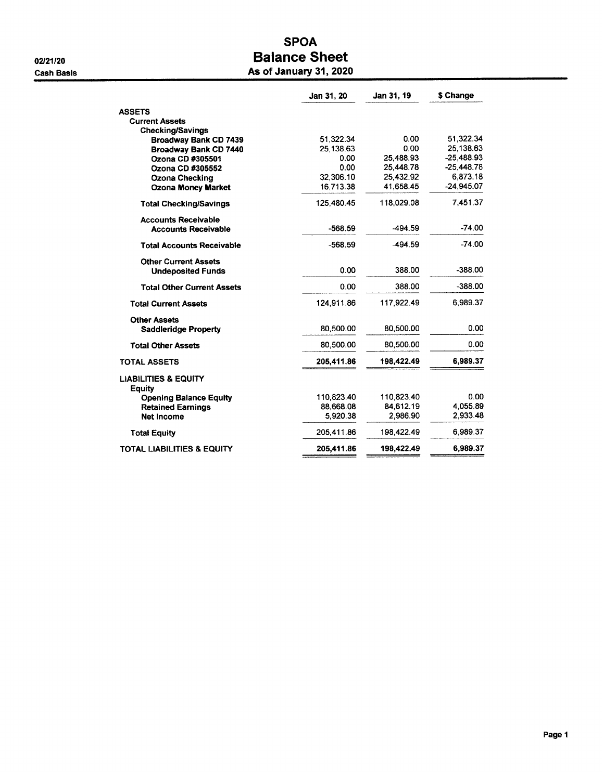## **SPOA Balance Sheet** As of January 31, 2020

|                                                    | Jan 31, 20 | Jan 31, 19 | \$ Change    |
|----------------------------------------------------|------------|------------|--------------|
| <b>ASSETS</b>                                      |            |            |              |
| <b>Current Assets</b>                              |            |            |              |
| <b>Checking/Savings</b>                            |            |            |              |
| <b>Broadway Bank CD 7439</b>                       | 51,322.34  | 0.00       | 51,322.34    |
| Broadway Bank CD 7440                              | 25,138.63  | 0.00       | 25.138.63    |
| Ozona CD #305501                                   | 0.00       | 25,488.93  | $-25.488.93$ |
| Ozona CD #305552                                   | 0.00       | 25,448.78  | $-25,448.78$ |
| <b>Ozona Checking</b>                              | 32,306.10  | 25,432.92  | 6,873.18     |
| <b>Ozona Money Market</b>                          | 16.713.38  | 41,658.45  | $-24,945.07$ |
| <b>Total Checking/Savings</b>                      | 125,480.45 | 118,029.08 | 7,451.37     |
| <b>Accounts Receivable</b>                         |            |            |              |
| <b>Accounts Receivable</b>                         | $-568.59$  | -494.59    | -74.00       |
| <b>Total Accounts Receivable</b>                   | $-568.59$  | -494.59    | $-74.00$     |
| <b>Other Current Assets</b>                        |            |            |              |
| <b>Undeposited Funds</b>                           | 0.00       | 388.00     | $-388.00$    |
| <b>Total Other Current Assets</b>                  | 0.00       | 388.00     | $-388.00$    |
| <b>Total Current Assets</b>                        | 124,911.86 | 117,922.49 | 6.989.37     |
| <b>Other Assets</b><br><b>Saddleridge Property</b> | 80,500.00  | 80,500.00  | 0.00         |
|                                                    |            |            |              |
| <b>Total Other Assets</b>                          | 80,500.00  | 80,500.00  | 0.00         |
| <b>TOTAL ASSETS</b>                                | 205,411.86 | 198,422.49 | 6,989.37     |
| <b>LIABILITIES &amp; EQUITY</b><br>Equity          |            |            |              |
| <b>Opening Balance Equity</b>                      | 110,823.40 | 110.823.40 | 0.00         |
| <b>Retained Earnings</b>                           | 88,668.08  | 84.612.19  | 4.055.89     |
| <b>Net Income</b>                                  | 5.920.38   | 2,986.90   | 2,933.48     |
| <b>Total Equity</b>                                | 205,411.86 | 198.422.49 | 6.989.37     |
| <b>TOTAL LIABILITIES &amp; EQUITY</b>              | 205,411.86 | 198,422.49 | 6,989.37     |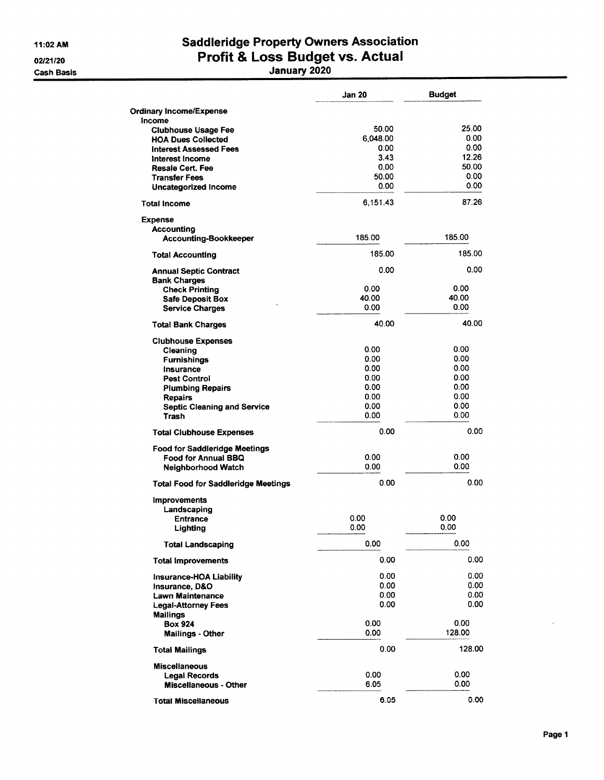11:02 AM 02/21/20

**Cash Basis** 

# Saddleridge Property Owners Association<br>Profit & Loss Budget vs. Actual<br>January 2020

|                                            | Jan 20   | <b>Budget</b> |
|--------------------------------------------|----------|---------------|
| <b>Ordinary Income/Expense</b>             |          |               |
| Income                                     |          |               |
| <b>Clubhouse Usage Fee</b>                 | 50.00    | 25.00         |
| <b>HOA Dues Collected</b>                  | 6,048.00 | 0.00          |
| <b>Interest Assessed Fees</b>              | 0.00     | 0.00          |
| Interest Income                            | 3.43     | 12.26         |
| <b>Resale Cert. Fee</b>                    | 0.00     | 50.00         |
| <b>Transfer Fees</b>                       | 50.00    | 0.00          |
| Uncategorized Income                       | 0.00     | 0.00          |
| <b>Total Income</b>                        | 6.151.43 | 87.26         |
| <b>Expense</b>                             |          |               |
| Accounting                                 |          |               |
| Accounting-Bookkeeper                      | 185.00   | 185.00        |
| <b>Total Accounting</b>                    | 185.00   | 185.00        |
| <b>Annual Septic Contract</b>              | 0.00     | 0.00          |
| <b>Bank Charges</b>                        |          |               |
| <b>Check Printing</b>                      | 0.00     | 0.00          |
| <b>Safe Deposit Box</b>                    | 40.00    | 40.00         |
| <b>Service Charges</b>                     | 0.00     | 0.00          |
| <b>Total Bank Charges</b>                  | 40.00    | 40.00         |
| <b>Clubhouse Expenses</b>                  |          |               |
| Cleaning                                   | 0.00     | 0.00          |
| <b>Furnishings</b>                         | 0.00     | 0.00          |
| Insurance                                  | 0.00     | 0.00          |
| <b>Pest Control</b>                        | 0.00     | 0.00          |
| <b>Plumbing Repairs</b>                    | 0.00     | 0.00          |
| <b>Repairs</b>                             | 0.00     | 0.00          |
| <b>Septic Cleaning and Service</b>         | 0.00     | 0.00          |
| Trash                                      | 0.00     | 0.00          |
| <b>Total Clubhouse Expenses</b>            | 0.00     | 0.00          |
| <b>Food for Saddleridge Meetings</b>       |          |               |
| <b>Food for Annual BBQ</b>                 | 0.00     | 0.00          |
| Neighborhood Watch                         | 0.00     | 0.00          |
|                                            |          | 0.00          |
| <b>Total Food for Saddleridge Meetings</b> | 0.00     |               |
| <b>Improvements</b><br>Landscaping         |          |               |
| <b>Entrance</b>                            | 0.00     | 0.00          |
| Lighting                                   | 0.00     | 0.00          |
| <b>Total Landscaping</b>                   | 0.00     | 0.00          |
| <b>Total Improvements</b>                  | 0.00     | 0.00          |
| <b>Insurance-HOA Liability</b>             | 0.00     | 0.00          |
| Insurance, D&O                             | 0.00     | 0.00          |
| <b>Lawn Maintenance</b>                    | 0.00     | 0.00          |
| <b>Legal-Attorney Fees</b>                 | 0.00     | 0.00          |
| <b>Mailings</b>                            |          |               |
| <b>Box 924</b>                             | 0.00     | 0.00          |
| <b>Mailings - Other</b>                    | 0.00     | 128.00        |
| <b>Total Mailings</b>                      | 0.00     | 128.00        |
| <b>Miscellaneous</b>                       |          |               |
| <b>Legal Records</b>                       | 0.00     | 0.00          |
| <b>Miscellaneous - Other</b>               | 6.05     | 0.00          |
|                                            |          |               |
| <b>Total Miscellaneous</b>                 | 6.05     | 0.00          |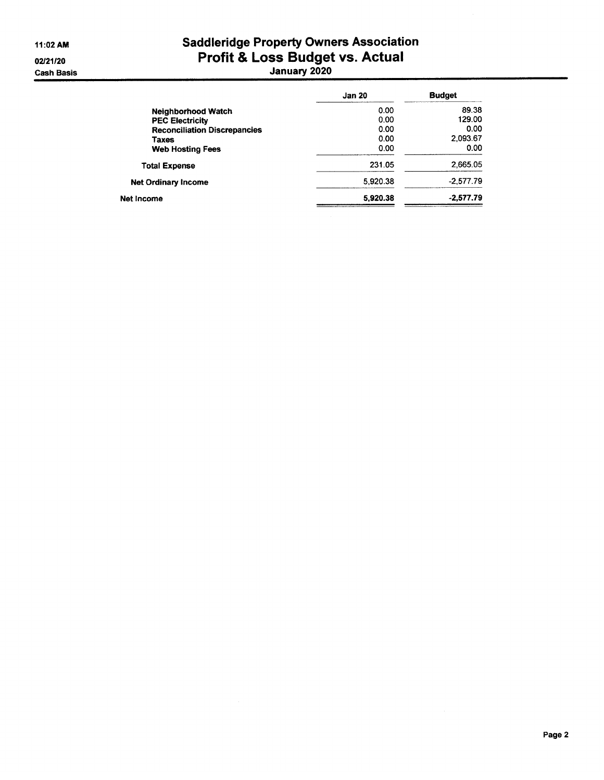# Saddleridge Property Owners Association<br>Profit & Loss Budget vs. Actual<br>January 2020

|                                     | <b>Jan 20</b> | <b>Budget</b> |
|-------------------------------------|---------------|---------------|
| <b>Neighborhood Watch</b>           | 0.00          | 89.38         |
| <b>PEC Electricity</b>              | 0.00          | 129.00        |
| <b>Reconciliation Discrepancies</b> | 0.00          | 0.00          |
| <b>Taxes</b>                        | 0.00          | 2.093.67      |
| <b>Web Hosting Fees</b>             | 0.00          | 0.00          |
| <b>Total Expense</b>                | 231.05        | 2.665.05      |
| <b>Net Ordinary Income</b>          | 5,920.38      | $-2.577.79$   |
| Net Income                          | 5,920.38      | $-2.577.79$   |
|                                     |               |               |